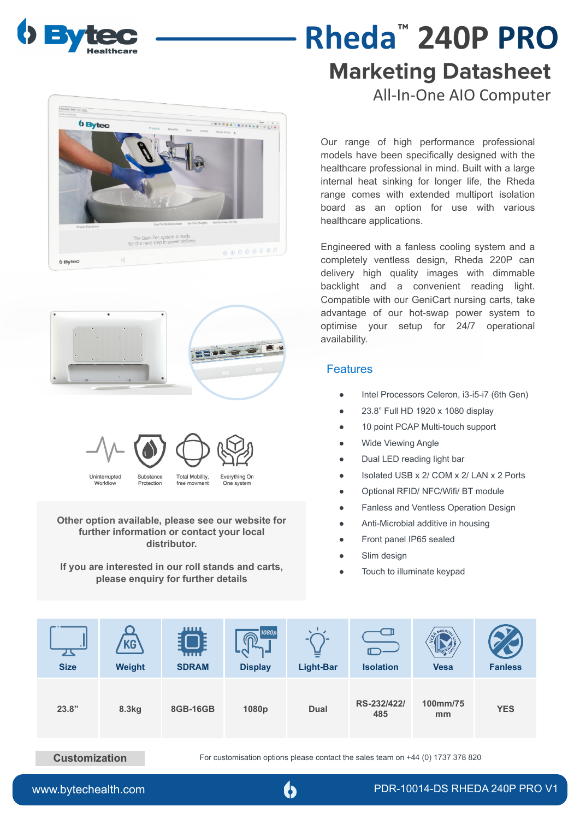

**b** Bytec

 $b$  Byteo

## **Marketing Datasheet** All-In-One AIO Computer **Rheda**™ **240P PRO**

Our range of high performance professional models have been specifically designed with the healthcare professional in mind. Built with a large internal heat sinking for longer life, the Rheda range comes with extended multiport isolation board as an option for use with various healthcare applications.

Engineered with a fanless cooling system and a completely ventless design, Rheda 220P can delivery high quality images with dimmable backlight and a convenient reading light. Compatible with our GeniCart nursing carts, take advantage of our hot-swap power system to optimise your setup for 24/7 operational availability.

#### **Features**

**BODSSORGSSSS ....** 

. . . . . . . .

**HELL & CO. P.** 

Everything On

One systen

- Intel Processors Celeron, i3-i5-i7 (6th Gen)
- 23.8" Full HD 1920 x 1080 display
- 10 point PCAP Multi-touch support
- Wide Viewing Angle
- Dual LED reading light bar
- Isolated USB x 2/ COM x 2/ LAN x 2 Ports
- Optional RFID/ NFC/Wifi/ BT module
- Fanless and Ventless Operation Design
- Anti-Microbial additive in housing
- Front panel IP65 sealed
- Slim design
- Touch to illuminate keypad

| ᅩ<br><b>Size</b> | Weight | шш<br>mm<br><b>SDRAM</b> | 1080p<br>ี<br><b>Display</b> | =<br><b>Light-Bar</b> | <b>Isolation</b>   | MOUNTIA<br><b>Vesa</b> | <b>Fanless</b> |
|------------------|--------|--------------------------|------------------------------|-----------------------|--------------------|------------------------|----------------|
| 23.8"            | 8.3kg  | 8GB-16GB                 | 1080p                        | <b>Dual</b>           | RS-232/422/<br>485 | 100mm/75<br>mm         | <b>YES</b>     |

Uninterrupted

Workflov

**Other option available, please see our website for further information or contact your local distributor.** 

Substance

Protection

Total Mobility

free movment

**If you are interested in our roll stands and carts, please enquiry for further details**

**Customization** For customisation options please contact the sales team on +44 (0) 1737 378 820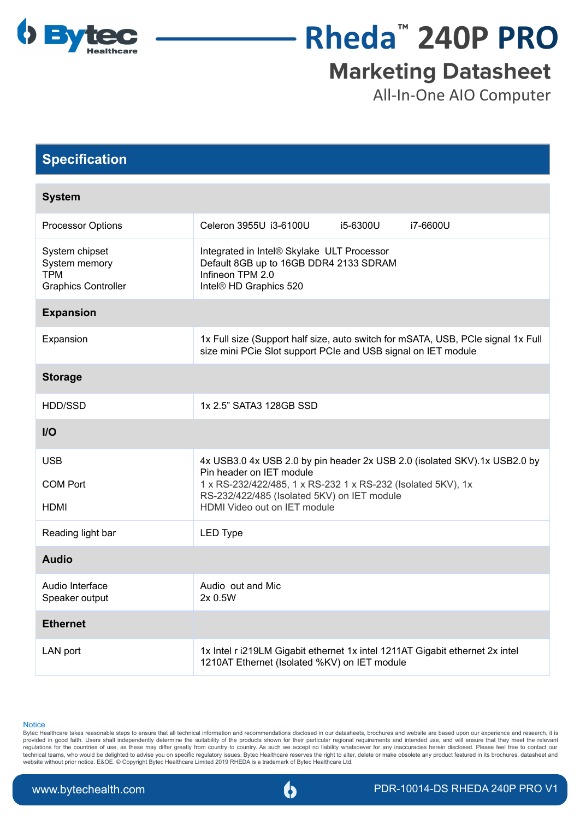

# **Rheda**™ **240P PRO**

## **Marketing Datasheet**

All-In-One AIO Computer

### **Specification**

| <b>System</b>                                                               |                                                                                                                                                   |          |          |  |  |
|-----------------------------------------------------------------------------|---------------------------------------------------------------------------------------------------------------------------------------------------|----------|----------|--|--|
| Processor Options                                                           | Celeron 3955U i3-6100U                                                                                                                            | i5-6300U | i7-6600U |  |  |
| System chipset<br>System memory<br><b>TPM</b><br><b>Graphics Controller</b> | Integrated in Intel® Skylake ULT Processor<br>Default 8GB up to 16GB DDR4 2133 SDRAM<br>Infineon TPM 2.0<br>Intel® HD Graphics 520                |          |          |  |  |
| <b>Expansion</b>                                                            |                                                                                                                                                   |          |          |  |  |
| Expansion                                                                   | 1x Full size (Support half size, auto switch for mSATA, USB, PCle signal 1x Full<br>size mini PCie Slot support PCIe and USB signal on IET module |          |          |  |  |
| <b>Storage</b>                                                              |                                                                                                                                                   |          |          |  |  |
| HDD/SSD                                                                     | 1x 2.5" SATA3 128GB SSD                                                                                                                           |          |          |  |  |
| $UO$                                                                        |                                                                                                                                                   |          |          |  |  |
| <b>USB</b>                                                                  | 4x USB3.0 4x USB 2.0 by pin header 2x USB 2.0 (isolated SKV).1x USB2.0 by<br>Pin header on IET module                                             |          |          |  |  |
| <b>COM Port</b>                                                             | 1 x RS-232/422/485, 1 x RS-232 1 x RS-232 (Isolated 5KV), 1x<br>RS-232/422/485 (Isolated 5KV) on IET module<br>HDMI Video out on IET module       |          |          |  |  |
| HDMI                                                                        |                                                                                                                                                   |          |          |  |  |
| Reading light bar                                                           | <b>LED Type</b>                                                                                                                                   |          |          |  |  |
| <b>Audio</b>                                                                |                                                                                                                                                   |          |          |  |  |
| Audio Interface<br>Speaker output                                           | Audio out and Mic<br>2x0.5W                                                                                                                       |          |          |  |  |
| <b>Ethernet</b>                                                             |                                                                                                                                                   |          |          |  |  |
| LAN port                                                                    | 1x Intel r i219LM Gigabit ethernet 1x intel 1211AT Gigabit ethernet 2x intel<br>1210AT Ethernet (Isolated %KV) on IET module                      |          |          |  |  |

**Notice** 

Bytec Healthcare takes reasonable steps to ensure that all technical information and recommendations disclosed in our datasheets, brochures and website are based upon our experience and research, it is provided in good faith. Users shall independently determine the suitability of the products shown for their particular regional requirements and intended use, and will ensure that they meet the relevant regulations for the countries of use, as these may differ greatly from country to country. As such we accept no liability whatsoever for any inaccuracies herein disclosed. Please feel free to contact our technical teams, who would be delighted to advise you on specific regulatory issues. Bytec Healthcare reserves the right to alter, delete or make obsolete any product featured in its brochures, datasheet and<br>website withou

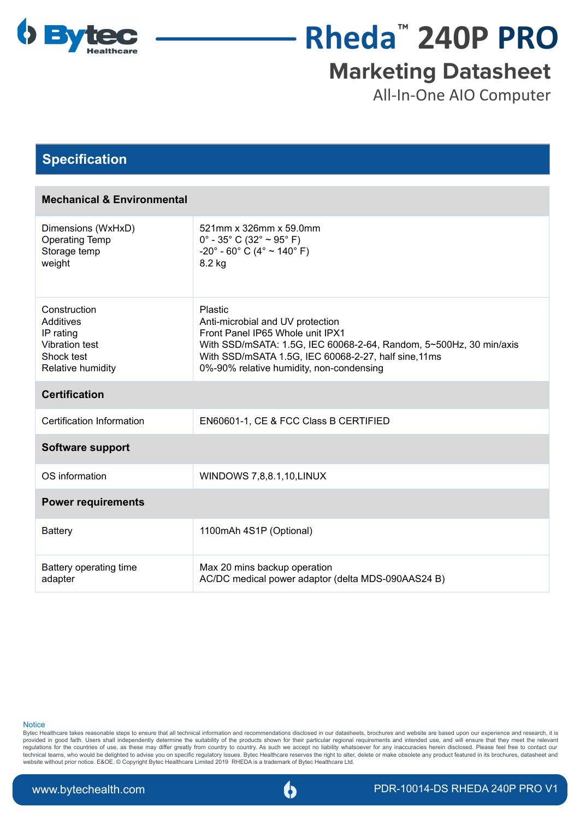

## **Rheda**™ **240P PRO**

### **Marketing Datasheet**

All-In-One AIO Computer

#### **Specification**

| <b>Mechanical &amp; Environmental</b>                                                       |                                                                                                                                                                                                                                                           |  |  |  |  |
|---------------------------------------------------------------------------------------------|-----------------------------------------------------------------------------------------------------------------------------------------------------------------------------------------------------------------------------------------------------------|--|--|--|--|
| Dimensions (WxHxD)<br><b>Operating Temp</b><br>Storage temp<br>weight                       | 521mm x 326mm x 59.0mm<br>$0^{\circ}$ - 35° C (32° ~ 95° F)<br>$-20^{\circ}$ - 60° C (4° ~ 140° F)<br>8.2 kg                                                                                                                                              |  |  |  |  |
| Construction<br>Additives<br>IP rating<br>Vibration test<br>Shock test<br>Relative humidity | Plastic<br>Anti-microbial and UV protection<br>Front Panel IP65 Whole unit IPX1<br>With SSD/mSATA: 1.5G, IEC 60068-2-64, Random, 5~500Hz, 30 min/axis<br>With SSD/mSATA 1.5G, IEC 60068-2-27, half sine, 11ms<br>0%-90% relative humidity, non-condensing |  |  |  |  |
| <b>Certification</b>                                                                        |                                                                                                                                                                                                                                                           |  |  |  |  |
| Certification Information                                                                   | EN60601-1, CE & FCC Class B CERTIFIED                                                                                                                                                                                                                     |  |  |  |  |
| <b>Software support</b>                                                                     |                                                                                                                                                                                                                                                           |  |  |  |  |
| OS information                                                                              | WINDOWS 7,8,8.1,10, LINUX                                                                                                                                                                                                                                 |  |  |  |  |
| <b>Power requirements</b>                                                                   |                                                                                                                                                                                                                                                           |  |  |  |  |
| <b>Battery</b>                                                                              | 1100mAh 4S1P (Optional)                                                                                                                                                                                                                                   |  |  |  |  |
| Battery operating time<br>adapter                                                           | Max 20 mins backup operation<br>AC/DC medical power adaptor (delta MDS-090AAS24 B)                                                                                                                                                                        |  |  |  |  |

#### **Notice**

Bytec Healthcare takes reasonable steps to ensure that all technical information and recommendations disclosed in our datasheets, brochures and website are based upon our experience and research, it is provided in good faith. Users shall independently determine the suitability of the products shown for their particular regional requirements and intended use, and will ensure that they meet the relevant regulations for the countries of use, as these may differ greatly from country to country. As such we accept no liability whatsoever for any inaccuracies herein disclosed. Please feel free to contact our technical teams, who would be delighted to advise you on specific regulatory issues. Bytec Healthcare reserves the right to alter, delete or make obsolete any product featured in its brochures, datasheet and<br>website withou